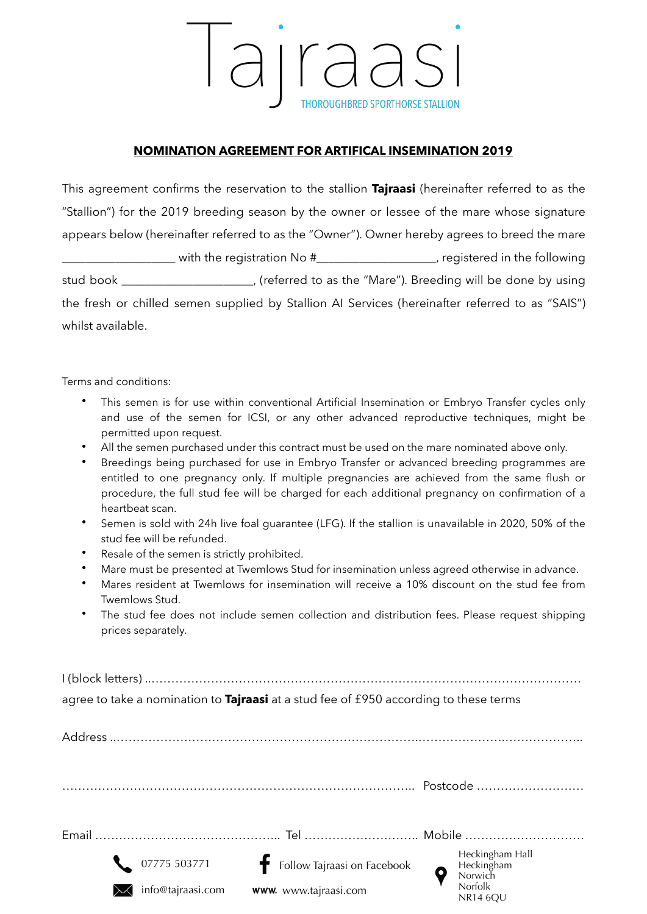arraas **THOROUGHBRED SPORTHORSE STALLION** 

## **NOMINATION AGREEMENT FOR ARTIFICAL INSEMINATION 2019**

This agreement confirms the reservation to the stallion **Tajraasi** (hereinafter referred to as the "Stallion") for the 2019 breeding season by the owner or lessee of the mare whose signature appears below (hereinafter referred to as the "Owner"). Owner hereby agrees to breed the mare \_\_\_\_\_\_\_\_\_\_\_\_\_\_\_\_\_\_\_ with the registration No #\_\_\_\_\_\_\_\_\_\_\_\_\_\_\_\_\_\_\_\_, registered in the following stud book \_\_\_\_\_\_\_\_\_\_\_\_\_\_\_\_\_\_\_\_\_\_, (referred to as the "Mare"). Breeding will be done by using the fresh or chilled semen supplied by Stallion AI Services (hereinafter referred to as "SAIS") whilst available.

Terms and conditions:

- This semen is for use within conventional Artificial Insemination or Embryo Transfer cycles only and use of the semen for ICSI, or any other advanced reproductive techniques, might be permitted upon request.
- All the semen purchased under this contract must be used on the mare nominated above only.
- Breedings being purchased for use in Embryo Transfer or advanced breeding programmes are entitled to one pregnancy only. If multiple pregnancies are achieved from the same flush or procedure, the full stud fee will be charged for each additional pregnancy on confirmation of a heartbeat scan.
- Semen is sold with 24h live foal guarantee (LFG). If the stallion is unavailable in 2020, 50% of the stud fee will be refunded.
- Resale of the semen is strictly prohibited.
- Mare must be presented at Twemlows Stud for insemination unless agreed otherwise in advance.
- Mares resident at Twemlows for insemination will receive a 10% discount on the stud fee from Twemlows Stud.
- The stud fee does not include semen collection and distribution fees. Please request shipping prices separately.

I (block letters) ..……………………………………………………………………………………………… agree to take a nomination to **Tajraasi** at a stud fee of £950 according to these terms

| Address |                   |                               |                                                                               |
|---------|-------------------|-------------------------------|-------------------------------------------------------------------------------|
|         |                   |                               | Postcode                                                                      |
|         |                   |                               |                                                                               |
|         | 07775 503771      | F Follow Tajraasi on Facebook | Heckingham Hall<br>Heckingham<br>Norwich<br><b>Norfolk</b><br><b>NR14 6OU</b> |
|         | info@tajraasi.com | www. www.tajraasi.com         |                                                                               |